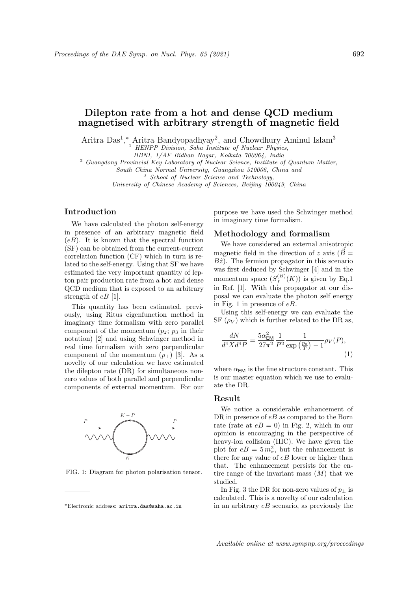# Dilepton rate from a hot and dense QCD medium magnetised with arbitrary strength of magnetic field

Aritra Das<sup>1</sup>,\* Aritra Bandyopadhyay<sup>2</sup>, and Chowdhury Aminul Islam<sup>3</sup>

<sup>1</sup> HENPP Division, Saha Institute of Nuclear Physics,

HBNI, 1/AF Bidhan Nagar, Kolkata 700064, India

<sup>2</sup> Guangdong Provincial Key Laboratory of Nuclear Science, Institute of Quantum Matter,

South China Normal University, Guangzhou 510006, China and

<sup>3</sup> School of Nuclear Science and Technology,

University of Chinese Academy of Sciences, Beijing 100049, China

# Introduction

We have calculated the photon self-energy in presence of an arbitrary magnetic field  $(eB)$ . It is known that the spectral function (SF) can be obtained from the current-current correlation function (CF) which in turn is related to the self-energy. Using that SF we have estimated the very important quantity of lepton pair production rate from a hot and dense QCD medium that is exposed to an arbitrary strength of  $eB$  [1].

This quantity has been estimated, previously, using Ritus eigenfunction method in imaginary time formalism with zero parallel component of the momentum  $(p_z; p_3)$  in their notation) [2] and using Schwinger method in real time formalism with zero perpendicular component of the momentum  $(p_{\perp})$  [3]. As a novelty of our calculation we have estimated the dilepton rate (DR) for simultaneous nonzero values of both parallel and perpendicular components of external momentum. For our



FIG. 1: Diagram for photon polarisation tensor.

purpose we have used the Schwinger method in imaginary time formalism.

### Methodology and formalism

We have considered an external anisotropic magnetic field in the direction of z axis ( $\vec{B}$  =  $B\hat{z}$ ). The fermion propagator in this scenario was first deduced by Schwinger [4] and in the momentum space  $(S_f^{(B)}$  $f_f^{(D)}(K)$ ) is given by Eq.1 in Ref. [1]. With this propagator at our disposal we can evaluate the photon self energy in Fig. 1 in presence of eB.

Using this self-energy we can evaluate the SF  $(\rho_V)$  which is further related to the DR as,

$$
\frac{dN}{d^4 X d^4 P} = \frac{5\alpha_{\text{EM}}^2}{27\pi^2} \frac{1}{P^2} \frac{1}{\exp\left(\frac{p_0}{T}\right) - 1} \rho_V(P),\tag{1}
$$

where  $\alpha_{EM}$  is the fine structure constant. This is our master equation which we use to evaluate the DR.

#### Result

We notice a considerable enhancement of DR in presence of  $eB$  as compared to the Born rate (rate at  $eB = 0$ ) in Fig. 2, which in our opinion is encouraging in the perspective of heavy-ion collision (HIC). We have given the plot for  $eB = 5 m_{\pi}^2$ , but the enhancement is there for any value of  $eB$  lower or higher than that. The enhancement persists for the entire range of the invariant mass  $(M)$  that we studied.

In Fig. 3 the DR for non-zero values of  $p_{\perp}$  is calculated. This is a novelty of our calculation in an arbitrary  $eB$  scenario, as previously the

<sup>∗</sup>Electronic address: aritra.das@saha.ac.in